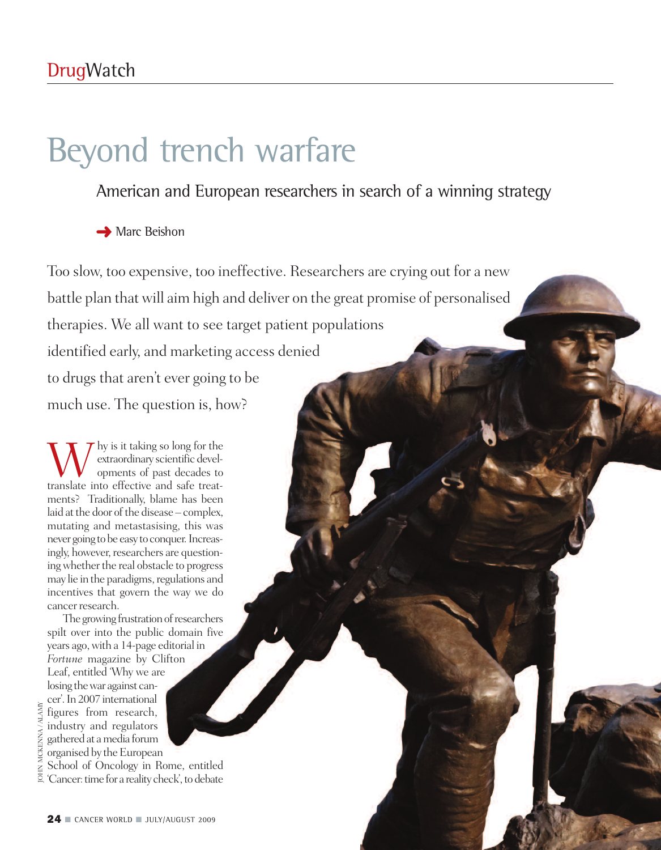# Beyond trench warfare

### American and European researchers in search of a winning strategy

**→** Marc Beishon

Too slow, too expensive, too ineffective. Researchers are erying out for a new<br>battle plan that will aim high and deliver on the great promise of personalised<br>therapies. We all want to see target patient populations<br>identi battle plan that will aim high and deliver on the great promise of personalised therapies. We all want to see target patient populations identified early, and marketing access denied to drugs that aren't ever going to be much use. The question is, how?

 $\mathbf{W}$  by is it taking so long for the extraordinary scientific developments of past decades to translate into effective and safe treatextraordinary scientific developments of past decades to translate into effective and safe treatments? Traditionally, blame has been laid at the door of the disease – complex, mutating and metastasising, this was never going to be easy to conquer. Increasingly, however, researchers are questioning whether the real obstacle to progress may lie in the paradigms, regulations and incentives that govern the way we do cancer research.

The growing frustration of researchers spilt over into the public domain five years ago,with a 14-page editorial in *Fortune* magazine by Clifton Leaf, entitled 'Why we are losing thewar against cancer'. In 2007 international figures from research, industry and regulators gatheredat amedia forum organised by the European<br>School of Oncology in Rome, entitled School of Oncology in Rome, entitled 'Cancer: time for a reality check', to debate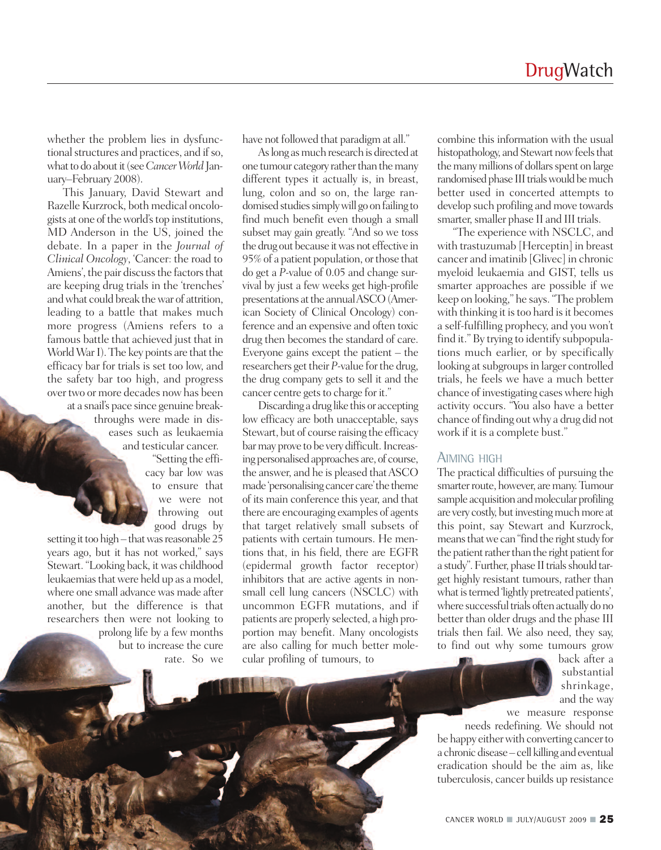whether the problem lies in dysfunctional structures and practices, and if so, what to do about it (see *Cancer World* January–February 2008).

This January, David Stewart and Razelle Kurzrock, both medical oncologists at one of the world's top institutions, MD Anderson in the US, joined the debate. In a paper in the *Journal of Clinical Oncology*, 'Cancer: the road to Amiens', the pair discuss the factors that are keeping drug trials in the 'trenches' andwhat could break thewar of attrition, leading to a battle that makes much more progress (Amiens refers to a famous battle that achieved just that in World War I). The key points are that the efficacy bar for trials is set too low, and the safety bar too high, and progress over two or more decades now has been at a snail's pace since genuine break-

throughs were made in diseases such as leukaemia and testicular cancer.

> "Setting the efficacy bar low was to ensure that we were not throwing out good drugs by

setting it too high-that was reasonable 25 years ago, but it has not worked," says Stewart. "Looking back, it was childhood leukaemias that were held up as a model, where one small advance was made after another, but the difference is that researchers then were not looking to prolong life by a few months

but to increase the cure rate. So we have not followed that paradigm at all."

As long as much research is directed at one tumour category rather than the many different types it actually is, in breast, lung, colon and so on, the large randomised studies simply will go on failing to find much benefit even though a small subset may gain greatly. "And so we toss the drug out because it was not effective in 95% of a patient population, or those that do get a *P*-value of 0.05 and change survival by just a few weeks get high-profile presentations at the annual ASCO (American Society of Clinical Oncology) conference and an expensive and often toxic drug then becomes the standard of care. Everyone gains except the patient – the researchers get their *P*-value for the drug, the drug company gets to sell it and the cancer centre gets to charge for it."

Discarding adrug like this or accepting low efficacy are both unacceptable, says Stewart, but of course raising the efficacy bar may prove to be very difficult. Increasing personalised approaches are, of course, the answer, and he is pleased that ASCO made 'personalising cancer care'the theme of its main conference this year, and that there are encouraging examples of agents that target relatively small subsets of patients with certain tumours. He mentions that, in his field, there are EGFR (epidermal growth factor receptor) inhibitors that are active agents in nonsmall cell lung cancers (NSCLC) with uncommon EGFR mutations, and if patients are properly selected, a high proportion may benefit. Many oncologists are also calling for much better molecular profiling of tumours, to

combine this information with the usual histopathology, and Stewart now feels that the many millions of dollars spent on large randomised phase III trials would be much better used in concerted attempts to develop such profiling and move towards smarter, smaller phase II and III trials.

"The experience with NSCLC, and with trastuzumab [Herceptin] in breast cancer and imatinib [Glivec] in chronic myeloid leukaemia and GIST, tells us smarter approaches are possible if we keep on looking," he says."The problem with thinking it is too hard is it becomes a self-fulfilling prophecy, and you won't find it." By trying to identify subpopulations much earlier, or by specifically looking at subgroups in larger controlled trials, he feels we have a much better chance of investigating cases where high activity occurs. "You also have a better chance of finding out why a drug did not work if it is a complete bust."

### AIMING HIGH

The practical difficulties of pursuing the smarter route, however, are many. Tumour sample acquisition and molecular profiling are very costly, but investing much more at this point, say Stewart and Kurzrock, means that we can "find the right study for the patient rather than the right patient for a study". Further, phase II trials should target highly resistant tumours, rather than what is termed 'lightly pretreated patients', where successful trials often actually do no better than older drugs and the phase III trials then fail. We also need, they say, to find out why some tumours grow

> back after a substantial shrinkage, and the way

we measure response needs redefining. We should not be happy either with converting cancer to a chronic disease – cell killing and eventual eradication should be the aim as, like tuberculosis, cancer builds up resistance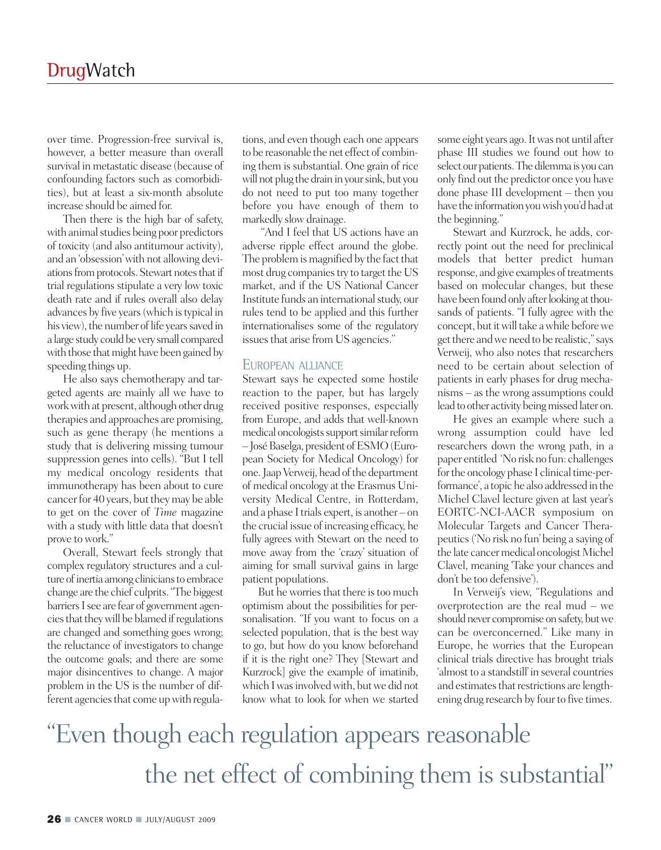over time. Progression-free survival is, however, a better measure than overall survival in metastatic disease (because of confounding factors such as comorbidities), but at least a six-month absolute increase should be aimed for.

Then there is the high bar of safety, with animal studies being poor predictors of toxicity (and also antitumour activity), and an 'obsession'with not allowing deviations from protocols. Stewart notes that if trial regulations stipulate a very low toxic death rate and if rules overall also delay advances by five years (which is typical in his view), the number of life years saved in a large study could be very small compared with those that might have been gained by speeding things up.

He also says chemotherapy and targeted agents are mainly all we have to workwithat present, although other drug therapies and approaches are promising, such as gene therapy (he mentions a study that is delivering missing tumour suppression genes into cells). "But I tell my medical oncology residents that immunotherapy has been about to cure cancer for 40 years, but they may be able to get on the cover of *Time* magazine with a study with little data that doesn't prove towork."

Overall, Stewart feels strongly that complex regulatory structures and a culture of inertia among clinicians to embrace change are the chief culprits."The biggest barriers I see are fear of government agencies that they will be blamed if regulations are changed and something goes wrong; the reluctance of investigators to change the outcome goals; and there are some major disincentives to change. A major problem in the US is the number of different agencies that come up with regula-

tions, and even though each one appears to be reasonable the net effect of combining them is substantial. One grain of rice will not plug the drain in your sink, but you do not need to put too many together before you have enough of them to markedly slow drainage.

"And I feel that US actions have an adverse ripple effect around the globe. The problem is magnified by the fact that most drug companies try to target the US market, and if the US National Cancer Institute funds an international study, our rules tend to be applied and this further internationalises some of the regulatory issues that arise from US agencies."

### EUROPEAN ALLIANCE

Stewart says he expected some hostile reaction to the paper, but has largely received positive responses, especially from Europe, and adds that well-known medical oncologists support similar reform –JoséBaselga,president ofESMO(European Society for Medical Oncology) for one. Jaap Verweij, head of the department of medical oncology at the Erasmus University Medical Centre, in Rotterdam, and a phase I trials expert, is another  $-$  on the crucial issue of increasing efficacy, he fully agrees with Stewart on the need to move away from the 'crazy' situation of aiming for small survival gains in large patient populations.

But he worries that there is too much optimism about the possibilities for personalisation. "If you want to focus on a selected population, that is the best way to go, but how do you know beforehand if it is the right one? They [Stewart and Kurzrock] give the example of imatinib, which I was involved with, but we did not know what to look for when we started

some eight years ago. It was not until after phase III studies we found out how to select our patients. The dilemma is you can only find out the predictor once you have done phase III development – then you have the information you wish you'd had at the beginning."

Stewart and Kurzrock, he adds, correctly point out the need for preclinical models that better predict human response, and give examples of treatments based on molecular changes, but these have been found only after looking at thousands of patients. "I fully agree with the concept, but it will take a while before we get there and we need to be realistic," says Verweij, who also notes that researchers need to be certain about selection of patients in early phases for drug mechanisms – as the wrong assumptions could lead to other activity being missed later on.

He gives an example where such a wrong assumption could have led researchers down the wrong path, in a paper entitled 'No risk no fun: challenges for the oncology phase I clinical time-performance', a topic he also addressed in the Michel Clavel lecture given at last year's EORTC-NCI-AACR symposium on Molecular Targets and Cancer Therapeutics('No risk no fun'being a saying of the late cancer medical oncologist Michel Clavel, meaning 'Take your chances and don't be too defensive').

In Verweij's view, "Regulations and overprotection are the real mud – we should never compromise on safety, but we can be overconcerned." Like many in Europe, he worries that the European clinical trials directive has brought trials 'almost to a standstill'in several countries and estimates that restrictions are lengthening drug research by four to five times.

## "Even though each regulation appears reasonable the net effect of combining them is substantial"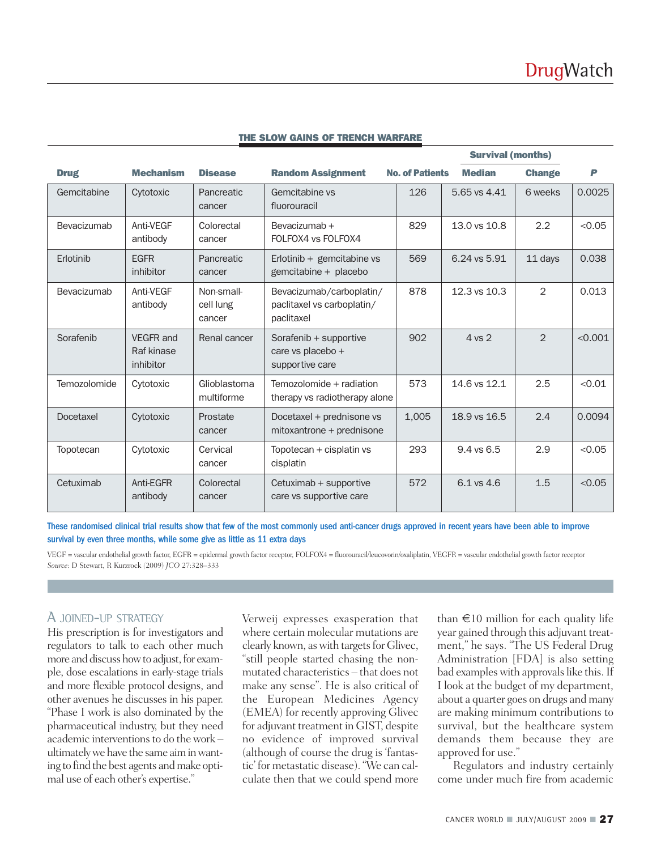|              |                                      |                                   |                                                                      |                        | <b>Survival (months)</b> |                |         |
|--------------|--------------------------------------|-----------------------------------|----------------------------------------------------------------------|------------------------|--------------------------|----------------|---------|
| <b>Drug</b>  | <b>Mechanism</b>                     | <b>Disease</b>                    | <b>Random Assignment</b>                                             | <b>No. of Patients</b> | <b>Median</b>            | <b>Change</b>  | P       |
| Gemcitabine  | Cytotoxic                            | Pancreatic<br>cancer              | Gemcitabine vs<br>fluorouracil                                       | 126                    | 5.65 vs 4.41             | 6 weeks        | 0.0025  |
| Bevacizumab  | Anti-VEGF<br>antibody                | Colorectal<br>cancer              | Bevacizumab +<br>FOLFOX4 vs FOLFOX4                                  | 829                    | 13.0 vs 10.8             | 2.2            | < 0.05  |
| Erlotinib    | <b>EGFR</b><br>inhibitor             | Pancreatic<br>cancer              | Erlotinib $+$ gemcitabine vs<br>gemcitabine + placebo                | 569                    | 6.24 vs 5.91             | 11 days        | 0.038   |
| Bevacizumab  | Anti-VEGF<br>antibody                | Non-small-<br>cell lung<br>cancer | Bevacizumab/carboplatin/<br>paclitaxel vs carboplatin/<br>paclitaxel | 878                    | 12.3 vs 10.3             | $\mathbf{2}$   | 0.013   |
| Sorafenib    | VEGFR and<br>Raf kinase<br>inhibitor | Renal cancer                      | Sorafenib + supportive<br>care vs placebo +<br>supportive care       | 902                    | 4 vs 2                   | $\mathfrak{D}$ | < 0.001 |
| Temozolomide | Cytotoxic                            | Glioblastoma<br>multiforme        | Temozolomide + radiation<br>therapy vs radiotherapy alone            | 573                    | 14.6 vs 12.1             | 2.5            | < 0.01  |
| Docetaxel    | Cytotoxic                            | Prostate<br>cancer                | Docetaxel + prednisone vs<br>$mitoxan$ trone + prednisone            | 1,005                  | 18.9 vs 16.5             | 2.4            | 0.0094  |
| Topotecan    | Cytotoxic                            | Cervical<br>cancer                | Topotecan + cisplatin vs<br>cisplatin                                | 293                    | $9.4$ vs $6.5$           | 2.9            | < 0.05  |
| Cetuximab    | Anti-EGFR<br>antibody                | Colorectal<br>cancer              | Cetuximab + supportive<br>care vs supportive care                    | 572                    | 6.1 vs 4.6               | 1.5            | < 0.05  |

#### **THE SLOW GAINS OF TRENCH WARFARE**

These randomised clinical trial results show that few of the most commonly used anti-cancer drugs approved in recent years have been able to improve survival by even three months, while some give as little as 11 extra days

VEGF = vascular endothelial growth factor, EGFR = epidermal growth factor receptor, FOLFOX4 = fluorouracil/leucovorin/oxaliplatin, VEGFR = vascular endothelial growth factor receptor *Source:* D Stewart, R Kurzrock *(*2009) *JCO* 27:328–333

### A JOINED-UP STRATEGY

His prescription is for investigators and regulators to talk to each other much more and discuss how to adjust, for example, dose escalations in early-stage trials and more flexible protocol designs, and other avenues he discusses in his paper. "Phase I work is also dominated by the pharmaceutical industry, but they need academic interventions to do the work ultimatelywehave the same aiminwanting to find the best agents and make optimal use of each other's expertise."

Verweij expresses exasperation that where certain molecular mutations are clearly known, as with targets for Glivec, "still people started chasing the nonmutated characteristics – that does not make any sense". He is also critical of the European Medicines Agency (EMEA) for recently approving Glivec for adjuvant treatment in GIST, despite no evidence of improved survival (although of course the drug is 'fantastic' for metastatic disease)."We can calculate then that we could spend more

than  $\epsilon$ 10 million for each quality life year gained through this adjuvant treatment," he says. "The US Federal Drug Administration [FDA] is also setting bad examples with approvals like this. If I look at the budget of my department, about a quarter goes on drugs and many are making minimum contributions to survival, but the healthcare system demands them because they are approved for use."

Regulators and industry certainly come under much fire from academic